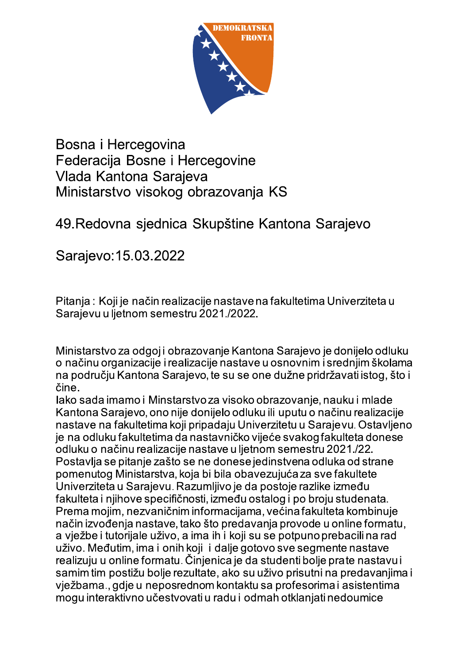

Bosna i Hercegovina Federacija Bosne i Hercegovine Vlada Kantona Sarajeva Ministarstvo visokog obrazovanja KS

## 49. Redovna sjednica Skupštine Kantona Sarajevo

Sarajevo: 15.03.2022

Pitanja: Koji je način realizacije nastave na fakultetima Univerziteta u Sarajevu u ljetnom semestru 2021./2022.

Ministarstvo za odgoj i obrazovanje Kantona Sarajevo je donijelo odluku o načinu organizacije i realizacije nastave u osnovnim i srednjim školama na područiu Kantona Sarajevo, te su se one dužne pridržavati istog. što i čine.

lako sada imamo i Minstarstvo za visoko obrazovanje, nauku i mlade Kantona Sarajevo, ono nije donijelo odluku ili uputu o načinu realizacije nastave na fakultetima koji pripadaju Univerzitetu u Sarajevu. Ostavljeno je na odluku fakultetima da nastavničko vijeće svakog fakulteta donese odluku o načinu realizacije nastave u ljetnom semestru 2021./22. Postavlja se pitanje zašto se ne donese jedinstvena odluka od strane pomenutog Ministarstva, koja bi bila obavezujuća za sve fakultete Univerziteta u Sarajevu. Razumljivo je da postoje razlike između fakulteta i njihove specifičnosti, između ostalog i po broju studenata. Prema mojim, nezvaničnim informacijama, većina fakulteta kombinuje način izvođenja nastave, tako što predavanja provode u online formatu, a vježbe i tutorijale uživo, a ima ih i koji su se potpuno prebacili na rad uživo. Međutim, ima i onih koji i dalje gotovo sve segmente nastave realizuju u online formatu. Činjenica je da studenti bolje prate nastavu i samim tim postižu bolje rezultate, ako su uživo prisutni na predavanjima i vježbama., gdje u neposrednom kontaktu sa profesorima i asistentima mogu interaktivno učestvovati u radu i odmah otklanjati nedoumice